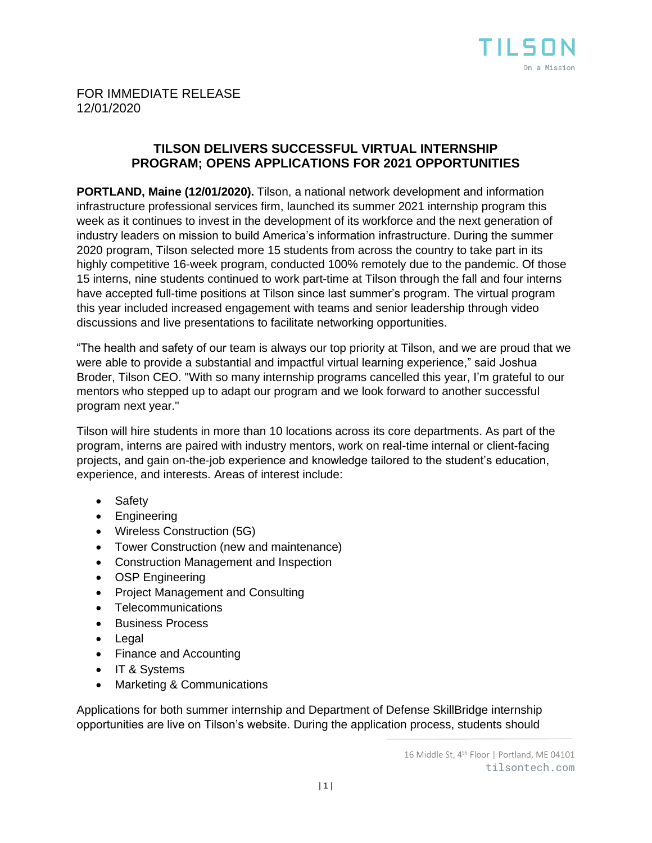

## FOR IMMEDIATE RELEASE 12/01/2020

## **TILSON DELIVERS SUCCESSFUL VIRTUAL INTERNSHIP PROGRAM; OPENS APPLICATIONS FOR 2021 OPPORTUNITIES**

**PORTLAND, Maine (12/01/2020).** Tilson, a national network development and information infrastructure professional services firm, launched its summer 2021 internship program this week as it continues to invest in the development of its workforce and the next generation of industry leaders on mission to build America's information infrastructure. During the summer 2020 program, Tilson selected more 15 students from across the country to take part in its highly competitive 16-week program, conducted 100% remotely due to the pandemic. Of those 15 interns, nine students continued to work part-time at Tilson through the fall and four interns have accepted full-time positions at Tilson since last summer's program. The virtual program this year included increased engagement with teams and senior leadership through video discussions and live presentations to facilitate networking opportunities.

"The health and safety of our team is always our top priority at Tilson, and we are proud that we were able to provide a substantial and impactful virtual learning experience," said Joshua Broder, Tilson CEO. "With so many internship programs cancelled this year, I'm grateful to our mentors who stepped up to adapt our program and we look forward to another successful program next year."

Tilson will hire students in more than 10 locations across its core departments. As part of the program, interns are paired with industry mentors, work on real-time internal or client-facing projects, and gain on-the-job experience and knowledge tailored to the student's education, experience, and interests. Areas of interest include:

- Safety
- Engineering
- Wireless Construction (5G)
- Tower Construction (new and maintenance)
- Construction Management and Inspection
- OSP Engineering
- Project Management and Consulting
- Telecommunications
- Business Process
- Legal
- Finance and Accounting
- IT & Systems
- Marketing & Communications

Applications for both summer internship and Department of Defense SkillBridge internship opportunities are live on Tilson's website. During the application process, students should